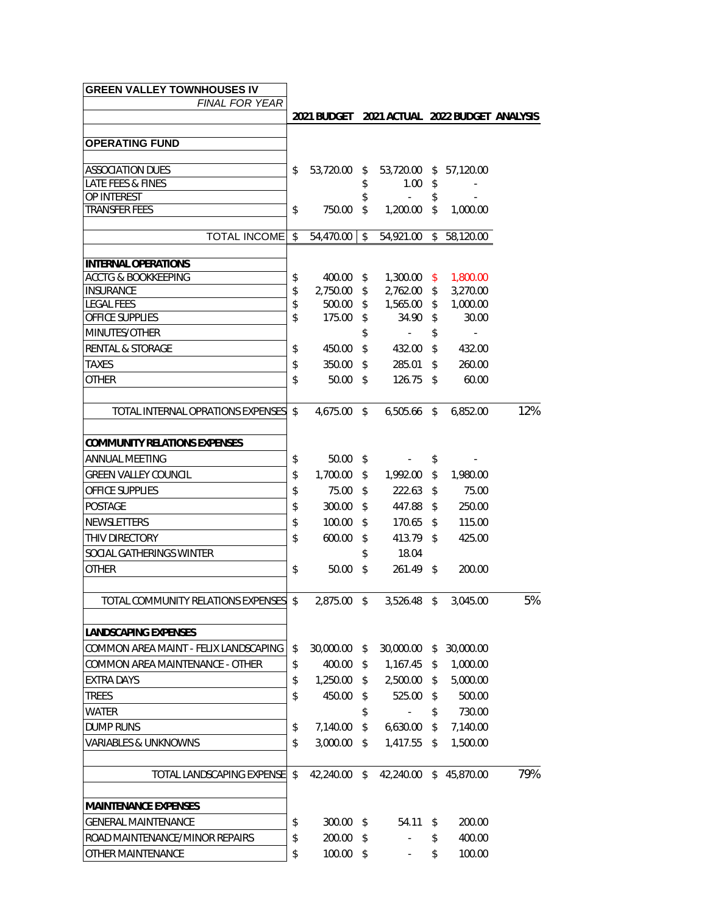| <b>GREEN VALLEY TOWNHOUSES IV</b>        |                                              |                |               |                        |               |             |     |
|------------------------------------------|----------------------------------------------|----------------|---------------|------------------------|---------------|-------------|-----|
| <b>FINAL FOR YEAR</b>                    | 2021 BUDGET 2021 ACTUAL 2022 BUDGET ANALYSIS |                |               |                        |               |             |     |
|                                          |                                              |                |               |                        |               |             |     |
| <b>OPERATING FUND</b>                    |                                              |                |               |                        |               |             |     |
| ASSOCIATION DUES                         | \$                                           | 53,720.00 \$   |               | 53,720.00 \$ 57,120.00 |               |             |     |
| LATE FEES & FINES                        |                                              |                | \$            | 1.00                   | \$            |             |     |
| <b>OP INTEREST</b>                       |                                              |                | \$            | $\Delta \sim 10^4$     | \$            |             |     |
| <b>TRANSFER FEES</b>                     | \$                                           | 750.00         | \$            | $1,200.00$ \$          |               | 1.000.00    |     |
| <b>TOTAL INCOME \$</b>                   |                                              | $54,470.00$ \$ |               | 54,921.00              | $\frac{1}{2}$ | 58,120.00   |     |
| <b>INTERNAL OPERATIONS</b>               |                                              |                |               |                        |               |             |     |
| <b>ACCTG &amp; BOOKKEEPING</b>           | \$                                           | 400.00 \$      |               | $1,300.00$ \$          |               | 1,800.00    |     |
| INSURANCE                                | \$                                           | 2,750.00       | \$            | 2,762.00 \$            |               | 3,270.00    |     |
| <b>LEGAL FEES</b>                        | \$                                           | 500.00         | \$            | 1,565.00               | \$            | 1,000.00    |     |
| OFFICE SUPPLIES                          | \$                                           | 175.00 \$      |               | 34.90 \$               |               | 30.00       |     |
| MINUTES/OTHER                            |                                              |                | \$            | $\sim$                 | \$            | $\sim$      |     |
| <b>RENTAL &amp; STORAGE</b>              | \$                                           | 450.00         | - \$          | 432.00                 | \$            | 432.00      |     |
| <b>TAXES</b>                             | \$                                           | 350.00 \$      |               | 285.01                 | \$            | 260.00      |     |
| <b>OTHER</b>                             | \$                                           | $50.00$ \$     |               | $126.75$ \$            |               | 60.00       |     |
| <b>TOTAL INTERNAL OPRATIONS EXPENSES</b> | $\mathbb{S}$                                 | 4,675.00 \$    |               | 6,505.66 \$            |               | 6,852.00    | 12% |
| <b>COMMUNITY RELATIONS EXPENSES</b>      |                                              |                |               |                        |               |             |     |
| <b>ANNUAL MEETING</b>                    | \$                                           | $50.00$ \$     |               | $\sim 100$             | \$            |             |     |
| <b>GREEN VALLEY COUNCIL</b>              | \$                                           | 1,700.00 \$    |               | 1,992.00               | \$            | 1,980.00    |     |
| OFFICE SUPPLIES                          | \$                                           | 75.00 \$       |               | $222.63$ \$            |               | 75.00       |     |
| <b>POSTAGE</b>                           | \$                                           | 300.00         | \$            | 447.88                 | \$            | 250.00      |     |
| NEWSLETTERS                              | \$                                           | $100.00$ \$    |               | $170.65$ \$            |               | 115.00      |     |
| THIV DIRECTORY                           | \$                                           | 600.00         | $\sqrt[6]{3}$ | 413.79 \$              |               | 425.00      |     |
| SOCIAL GATHERINGS WINTER                 |                                              |                | \$            | 18.04                  |               |             |     |
| <b>OTHER</b>                             | \$                                           | 50.00          | \$            | 261.49 \$              |               | 200.00      |     |
| TOTAL COMMUNITY RELATIONS EXPENSES \$    |                                              | 2,875.00 \$    |               | 3,526.48 \$            |               | 3,045.00    | 5%  |
|                                          |                                              |                |               |                        |               |             |     |
| LANDSCAPING EXPENSES                     |                                              |                |               |                        |               |             |     |
| COMMON AREA MAINT - FELIX LANDSCAPING    | \$                                           | 30,000.00 \$   |               | 30,000.00              | S             | 30,000.00   |     |
| COMMON AREA MAINTENANCE - OTHER          | \$                                           | 400.00         | \$            | 1,167.45               | \$            | 1,000.00    |     |
| <b>EXTRA DAYS</b>                        | \$                                           | 1,250.00       | \$            | 2,500.00               | \$            | 5,000.00    |     |
| <b>TREES</b>                             | \$                                           | 450.00         | \$            | 525.00                 | \$            | 500.00      |     |
| WATER                                    |                                              |                | \$            | $\blacksquare$         | \$            | 730.00      |     |
| <b>DUMP RUNS</b>                         | \$                                           | 7,140.00       | \$            | 6,630.00               | \$            | 7,140.00    |     |
| <b>VARIABLES &amp; UNKNOWNS</b>          | \$                                           | 3,000.00       | \$            | 1,417.55               | \$            | 1,500.00    |     |
| TOTAL LANDSCAPING EXPENSE                | \$                                           | 42,240.00 \$   |               | 42,240.00              |               | \$45,870.00 | 79% |
| MAINTENANCE EXPENSES                     |                                              |                |               |                        |               |             |     |
| <b>GENERAL MAINTENANCE</b>               | \$                                           | 300.00 \$      |               | 54.11                  | \$            | 200.00      |     |
| ROAD MAINTENANCE/MINOR REPAIRS           | \$                                           | 200.00         | \$            |                        | \$            | 400.00      |     |
|                                          |                                              |                |               |                        |               |             |     |